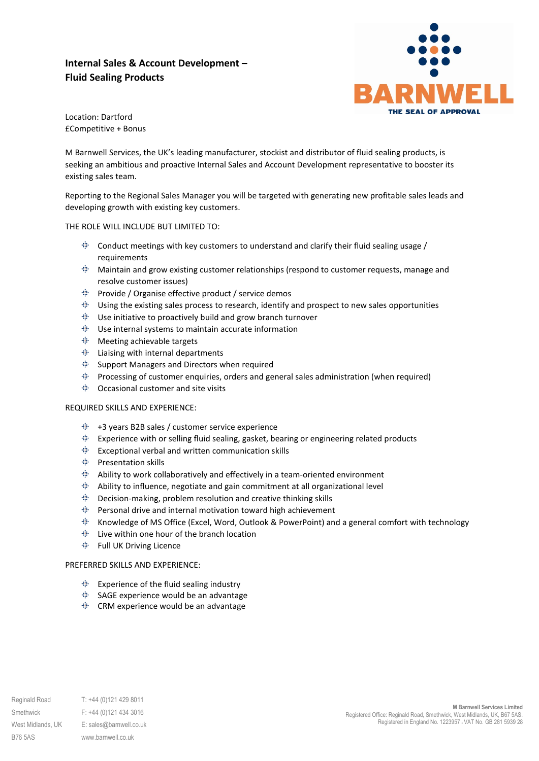# **Internal Sales & Account Development – Fluid Sealing Products**



Location: Dartford £Competitive + Bonus

M Barnwell Services, the UK's leading manufacturer, stockist and distributor of fluid sealing products, is seeking an ambitious and proactive Internal Sales and Account Development representative to booster its existing sales team.

Reporting to the Regional Sales Manager you will be targeted with generating new profitable sales leads and developing growth with existing key customers.

### THE ROLE WILL INCLUDE BUT LIMITED TO:

- **Conduct meetings with key customers to understand and clarify their fluid sealing usage** / requirements
- ÷⊪ ∴ Maintain and grow existing customer relationships (respond to customer requests, manage and resolve customer issues)
- Provide / Organise effective product / service demos
- $\ddot{\mathbb{P}}$  Using the existing sales process to research, identify and prospect to new sales opportunities
- Use initiative to proactively build and grow branch turnover
- Use internal systems to maintain accurate information
- Meeting achievable targets
- Liaising with internal departments
- Support Managers and Directors when required
- Processing of customer enquiries, orders and general sales administration (when required)
- Occasional customer and site visits

### REQUIRED SKILLS AND EXPERIENCE:

- $+3$  years B2B sales / customer service experience
- $\ddot{=}$  Experience with or selling fluid sealing, gasket, bearing or engineering related products
- 电。 Exceptional verbal and written communication skills
- **<sup>⊕</sup>** Presentation skills
- $\ddot{\text{F}}$  Ability to work collaboratively and effectively in a team-oriented environment
- Ability to influence, negotiate and gain commitment at all organizational level
- Decision-making, problem resolution and creative thinking skills
- Personal drive and internal motivation toward high achievement
- ÷⊪ ∴ Knowledge of MS Office (Excel, Word, Outlook & PowerPoint) and a general comfort with technology
- Live within one hour of the branch location
- Full UK Driving Licence

### PREFERRED SKILLS AND EXPERIENCE:

- Experience of the fluid sealing industry
- SAGE experience would be an advantage
- CRM experience would be an advantage